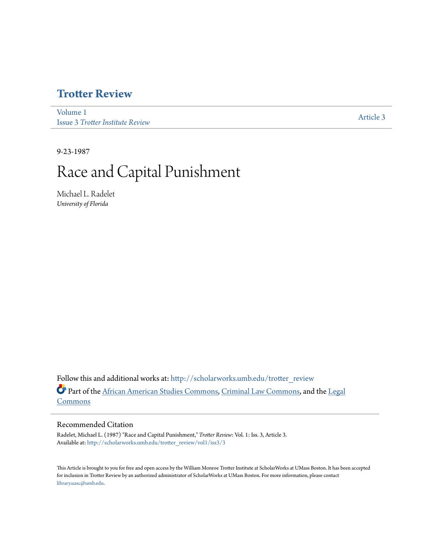### **[Trotter Review](http://scholarworks.umb.edu/trotter_review?utm_source=scholarworks.umb.edu%2Ftrotter_review%2Fvol1%2Fiss3%2F3&utm_medium=PDF&utm_campaign=PDFCoverPages)**

[Volume 1](http://scholarworks.umb.edu/trotter_review/vol1?utm_source=scholarworks.umb.edu%2Ftrotter_review%2Fvol1%2Fiss3%2F3&utm_medium=PDF&utm_campaign=PDFCoverPages) Issue 3 *[Trotter Institute Review](http://scholarworks.umb.edu/trotter_review/vol1/iss3?utm_source=scholarworks.umb.edu%2Ftrotter_review%2Fvol1%2Fiss3%2F3&utm_medium=PDF&utm_campaign=PDFCoverPages)*

[Article 3](http://scholarworks.umb.edu/trotter_review/vol1/iss3/3?utm_source=scholarworks.umb.edu%2Ftrotter_review%2Fvol1%2Fiss3%2F3&utm_medium=PDF&utm_campaign=PDFCoverPages)

9-23-1987

## Race and Capital Punishment

Michael L. Radelet *University of Florida*

Follow this and additional works at: [http://scholarworks.umb.edu/trotter\\_review](http://scholarworks.umb.edu/trotter_review?utm_source=scholarworks.umb.edu%2Ftrotter_review%2Fvol1%2Fiss3%2F3&utm_medium=PDF&utm_campaign=PDFCoverPages) Part of the [African American Studies Commons,](http://network.bepress.com/hgg/discipline/567?utm_source=scholarworks.umb.edu%2Ftrotter_review%2Fvol1%2Fiss3%2F3&utm_medium=PDF&utm_campaign=PDFCoverPages) [Criminal Law Commons,](http://network.bepress.com/hgg/discipline/912?utm_source=scholarworks.umb.edu%2Ftrotter_review%2Fvol1%2Fiss3%2F3&utm_medium=PDF&utm_campaign=PDFCoverPages) and the [Legal](http://network.bepress.com/hgg/discipline/502?utm_source=scholarworks.umb.edu%2Ftrotter_review%2Fvol1%2Fiss3%2F3&utm_medium=PDF&utm_campaign=PDFCoverPages) **[Commons](http://network.bepress.com/hgg/discipline/502?utm_source=scholarworks.umb.edu%2Ftrotter_review%2Fvol1%2Fiss3%2F3&utm_medium=PDF&utm_campaign=PDFCoverPages)** 

#### Recommended Citation

Radelet, Michael L. (1987) "Race and Capital Punishment," *Trotter Review*: Vol. 1: Iss. 3, Article 3. Available at: [http://scholarworks.umb.edu/trotter\\_review/vol1/iss3/3](http://scholarworks.umb.edu/trotter_review/vol1/iss3/3?utm_source=scholarworks.umb.edu%2Ftrotter_review%2Fvol1%2Fiss3%2F3&utm_medium=PDF&utm_campaign=PDFCoverPages)

This Article is brought to you for free and open access by the William Monroe Trotter Institute at ScholarWorks at UMass Boston. It has been accepted for inclusion in Trotter Review by an authorized administrator of ScholarWorks at UMass Boston. For more information, please contact [library.uasc@umb.edu.](mailto:library.uasc@umb.edu)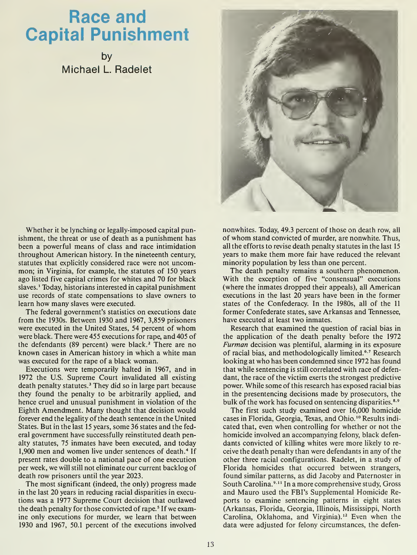# Race and Capital Punishment

by Michael L. Radelet



Whether it be lynching or legally-imposed capital punishment, the threat or use of death as a punishment has been a powerful means of class and race intimidation throughout American history. In the nineteenth century, statutes that explicitly considered race were not uncommon; in Virginia, for example, the statutes of 150 years ago listed five capital crimes for whites and 70 for black slaves.<sup>1</sup> Today, historians interested in capital punishment use records of state compensations to slave owners to learn how many slaves were executed.

The federal government's statistics on executions date from the 1930s. Between 1930 and 1967, 3,859 prisoners were executed in the United States, 54 percent of whom were black. There were 455 executions for rape, and 405 of the defendants (89 percent) were black.<sup>2</sup> There are no known cases in American history in which a white man was executed for the rape of a black woman.

Executions were temporarily halted in 1967, and in 1972 the U.S. Supreme Court invalidated all existing death penalty statutes. <sup>3</sup> They did so in large part because they found the penalty to be arbitrarily applied, and hence cruel and unusual punishment in violation of the Eighth Amendment. Many thought that decision would forever end the legality of the death sentence in the United States. But in the last 15 years, some 36 states and the federal government have successfully reinstituted death penalty statutes, 75 inmates have been executed, and today 1,900 men and women live under sentences of death. <sup>4</sup> If present rates double to a national pace of one execution per week, we will still not eliminate our current backlog of death row prisoners until the year 2023.

The most significant (indeed, the only) progress made in the last 20 years in reducing racial disparities in executions was a 1977 Supreme Court decision that outlawed the death penalty for those convicted of rape. <sup>5</sup> If we examine only executions for murder, we learn that between 1930 and 1967, 50.1 percent of the executions involved

nonwhites. Today, 49.3 percent of those on death row, all of whom stand convicted of murder, are nonwhite. Thus, all the efforts to revise death penalty statutes in the last 15 years to make them more fair have reduced the relevant minority population by less than one percent.

The death penalty remains a southern phenomenon. With the exception of five "consensual" executions (where the inmates dropped their appeals), all American executions in the last 20 years have been in the former states of the Confederacy. In the 1980s, all of the <sup>11</sup> former Confederate states, save Arkansas and Tennessee, have executed at least two inmates.

Research that examined the question of racial bias in the application of the death penalty before the 1972 Furman decision was plentiful, alarming in its exposure of racial bias, and methodologically limited.<sup>6,7</sup> Research looking at who has been condemned since 1972 has found that while sentencing is still correlated with race of defendant, the race of the victim exerts the strongest predictive power. While some of this research has exposed racial bias in the presentencing decisions made by prosecutors, the bulk of the work has focused on sentencing disparities.<sup>8,9</sup>

The first such study examined over 16,000 homicide cases in Florida, Georgia, Texas, and Ohio. <sup>10</sup> Results indicated that, even when controlling for whether or not the homicide involved an accompanying felony, black defendants convicted of killing whites were more likely to re ceive the death penalty than were defendants in any of the other three racial configurations. Radelet, in a study of Florida homicides that occurred between strangers, found similar patterns, as did Jacoby and Paternoster in South Carolina.<sup>9,11</sup> In a more comprehensive study, Gross and Mauro used the FBI's Supplemental Homicide Reports to examine sentencing patterns in eight states (Arkansas, Florida, Georgia, Illinois, Mississippi, North Carolina, Oklahoma, and Virginia).<sup>12</sup> Even when the data were adjusted for felony circumstances, the defen